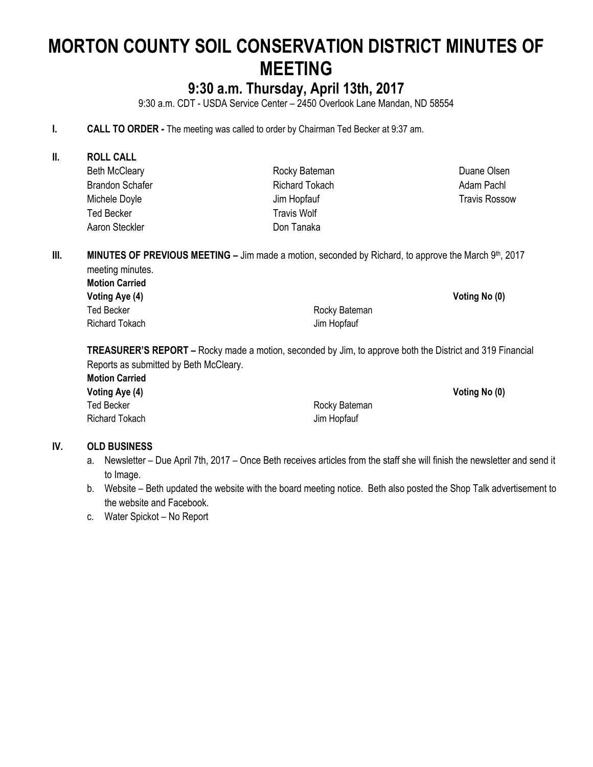# **MORTON COUNTY SOIL CONSERVATION DISTRICT MINUTES OF MEETING**

# **9:30 a.m. Thursday, April 13th, 2017**

9:30 a.m. CDT - USDA Service Center – 2450 Overlook Lane Mandan, ND 58554

#### **I. CALL TO ORDER -** The meeting was called to order by Chairman Ted Becker at 9:37 am.

**II. ROLL CALL** Beth McCleary Brandon Schafer Michele Doyle Ted Becker Aaron Steckler Rocky Bateman Richard Tokach Jim Hopfauf Travis Wolf Don Tanaka

**III. MINUTES OF PREVIOUS MEETING – Jim made a motion, seconded by Richard, to approve the March 9th, 2017** meeting minutes.

**Motion Carried Voting Aye (4) Voting No (0)** Ted Becker **Rocky** Bateman Richard Tokach **Jim Hopfauf** 

**TREASURER'S REPORT –** Rocky made a motion, seconded by Jim, to approve both the District and 319 Financial Reports as submitted by Beth McCleary.

| <b>Motion Carried</b> |               |
|-----------------------|---------------|
| Voting Aye (4)        |               |
| Ted Becker            | Rocky Bateman |
| Richard Tokach        | Jim Hopfauf   |

#### **IV. OLD BUSINESS**

- a. Newsletter Due April 7th, 2017 Once Beth receives articles from the staff she will finish the newsletter and send it to Image.
- b. Website Beth updated the website with the board meeting notice. Beth also posted the Shop Talk advertisement to the website and Facebook.
- c. Water Spickot No Report

Duane Olsen Adam Pachl Travis Rossow

**Voting Aye (4) Voting No (0)**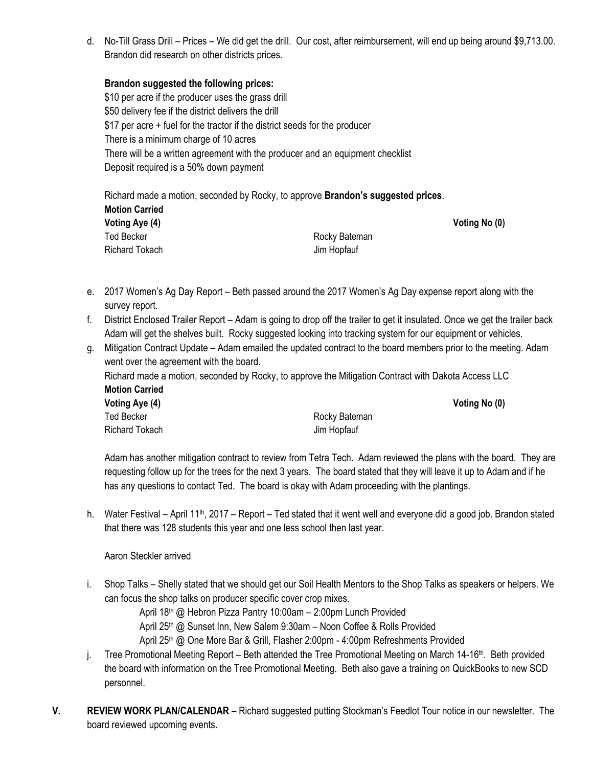d. No-Till Grass Drill – Prices – We did get the drill. Our cost, after reimbursement, will end up being around \$9,713.00. Brandon did research on other districts prices.

#### **Brandon suggested the following prices:**

\$10 per acre if the producer uses the grass drill \$50 delivery fee if the district delivers the drill \$17 per acre + fuel for the tractor if the district seeds for the producer There is a minimum charge of 10 acres There will be a written agreement with the producer and an equipment checklist Deposit required is a 50% down payment

Richard made a motion, seconded by Rocky, to approve **Brandon's suggested prices**. **Motion Carried Voting Aye (4) Voting No (0)** Ted Becker **Rocky Bateman** Richard Tokach Jim Hopfauf

- e. 2017 Women's Ag Day Report Beth passed around the 2017 Women's Ag Day expense report along with the survey report.
- f. District Enclosed Trailer Report Adam is going to drop off the trailer to get it insulated. Once we get the trailer back Adam will get the shelves built. Rocky suggested looking into tracking system for our equipment or vehicles.
- g. Mitigation Contract Update Adam emailed the updated contract to the board members prior to the meeting. Adam went over the agreement with the board.

Richard made a motion, seconded by Rocky, to approve the Mitigation Contract with Dakota Access LLC **Motion Carried**

| Voting Aye (4) |               | Voting No (0) |
|----------------|---------------|---------------|
| Ted Becker     | Rocky Bateman |               |
| Richard Tokach | Jim Hopfauf   |               |

Adam has another mitigation contract to review from Tetra Tech. Adam reviewed the plans with the board. They are requesting follow up for the trees for the next 3 years. The board stated that they will leave it up to Adam and if he has any questions to contact Ted. The board is okay with Adam proceeding with the plantings.

h. Water Festival – April 11<sup>th</sup>, 2017 – Report – Ted stated that it went well and everyone did a good job. Brandon stated that there was 128 students this year and one less school then last year.

Aaron Steckler arrived

i. Shop Talks – Shelly stated that we should get our Soil Health Mentors to the Shop Talks as speakers or helpers. We can focus the shop talks on producer specific cover crop mixes.

April 18<sup>th</sup> @ Hebron Pizza Pantry 10:00am - 2:00pm Lunch Provided

April 25th @ Sunset Inn, New Salem 9:30am – Noon Coffee & Rolls Provided

April 25<sup>th</sup> @ One More Bar & Grill, Flasher 2:00pm - 4:00pm Refreshments Provided

- j. Tree Promotional Meeting Report Beth attended the Tree Promotional Meeting on March 14-16<sup>th</sup>. Beth provided the board with information on the Tree Promotional Meeting. Beth also gave a training on QuickBooks to new SCD personnel.
- **V. REVIEW WORK PLAN/CALENDAR –** Richard suggested putting Stockman's Feedlot Tour notice in our newsletter. The board reviewed upcoming events.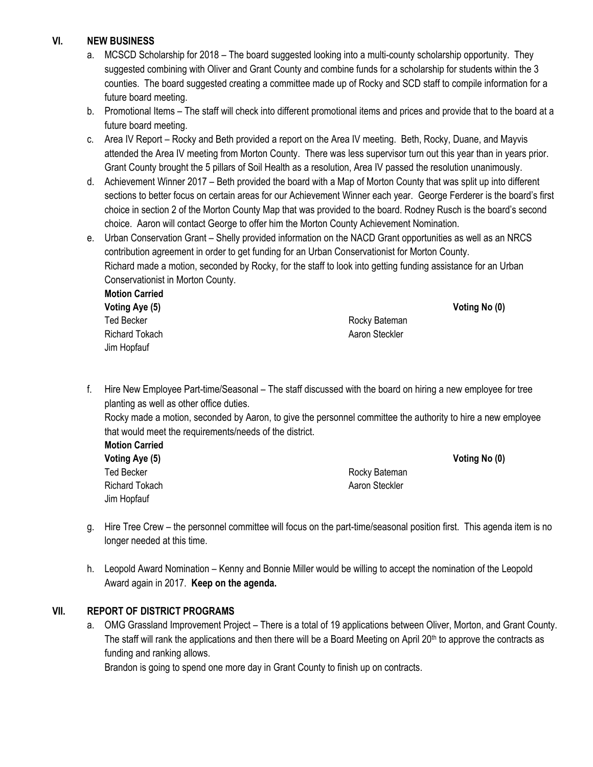## **VI. NEW BUSINESS**

- a. MCSCD Scholarship for 2018 The board suggested looking into a multi-county scholarship opportunity. They suggested combining with Oliver and Grant County and combine funds for a scholarship for students within the 3 counties. The board suggested creating a committee made up of Rocky and SCD staff to compile information for a future board meeting.
- b. Promotional Items The staff will check into different promotional items and prices and provide that to the board at a future board meeting.
- c. Area IV Report Rocky and Beth provided a report on the Area IV meeting. Beth, Rocky, Duane, and Mayvis attended the Area IV meeting from Morton County. There was less supervisor turn out this year than in years prior. Grant County brought the 5 pillars of Soil Health as a resolution, Area IV passed the resolution unanimously.
- d. Achievement Winner 2017 Beth provided the board with a Map of Morton County that was split up into different sections to better focus on certain areas for our Achievement Winner each year. George Ferderer is the board's first choice in section 2 of the Morton County Map that was provided to the board. Rodney Rusch is the board's second choice. Aaron will contact George to offer him the Morton County Achievement Nomination.
- e. Urban Conservation Grant Shelly provided information on the NACD Grant opportunities as well as an NRCS contribution agreement in order to get funding for an Urban Conservationist for Morton County. Richard made a motion, seconded by Rocky, for the staff to look into getting funding assistance for an Urban Conservationist in Morton County.

**Motion Carried Voting Aye (5) Voting No (0)** Ted Becker **Rocky** Bateman Richard Tokach **Accord Accord Aaron Steckler** Aaron Steckler Jim Hopfauf

f. Hire New Employee Part-time/Seasonal – The staff discussed with the board on hiring a new employee for tree planting as well as other office duties.

Rocky made a motion, seconded by Aaron, to give the personnel committee the authority to hire a new employee that would meet the requirements/needs of the district.

**Motion Carried Voting Aye (5) Voting No (0)** Ted Becker **Rocky Bateman** Richard Tokach **Aaron Steckler** Aaron Steckler Jim Hopfauf

- g. Hire Tree Crew the personnel committee will focus on the part-time/seasonal position first. This agenda item is no longer needed at this time.
- h. Leopold Award Nomination Kenny and Bonnie Miller would be willing to accept the nomination of the Leopold Award again in 2017. **Keep on the agenda.**

# **VII. REPORT OF DISTRICT PROGRAMS**

a. OMG Grassland Improvement Project – There is a total of 19 applications between Oliver, Morton, and Grant County. The staff will rank the applications and then there will be a Board Meeting on April  $20<sup>th</sup>$  to approve the contracts as funding and ranking allows.

Brandon is going to spend one more day in Grant County to finish up on contracts.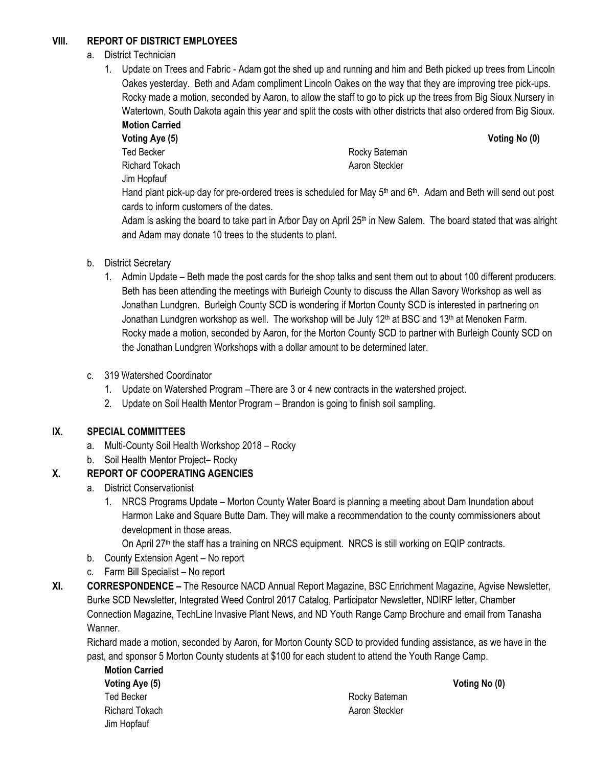# **VIII. REPORT OF DISTRICT EMPLOYEES**

# a. District Technician

1. Update on Trees and Fabric - Adam got the shed up and running and him and Beth picked up trees from Lincoln Oakes yesterday. Beth and Adam compliment Lincoln Oakes on the way that they are improving tree pick-ups. Rocky made a motion, seconded by Aaron, to allow the staff to go to pick up the trees from Big Sioux Nursery in Watertown, South Dakota again this year and split the costs with other districts that also ordered from Big Sioux. **Motion Carried**

**Voting Aye (5) Voting No (0)** Ted Becker **Rocky** Bateman Richard Tokach **Aaron Steckler** Aaron Steckler Jim Hopfauf

Hand plant pick-up day for pre-ordered trees is scheduled for May  $5<sup>th</sup>$  and  $6<sup>th</sup>$ . Adam and Beth will send out post cards to inform customers of the dates.

Adam is asking the board to take part in Arbor Day on April  $25<sup>th</sup>$  in New Salem. The board stated that was alright and Adam may donate 10 trees to the students to plant.

- b. District Secretary
	- 1. Admin Update Beth made the post cards for the shop talks and sent them out to about 100 different producers. Beth has been attending the meetings with Burleigh County to discuss the Allan Savory Workshop as well as Jonathan Lundgren. Burleigh County SCD is wondering if Morton County SCD is interested in partnering on Jonathan Lundgren workshop as well. The workshop will be July 12<sup>th</sup> at BSC and 13<sup>th</sup> at Menoken Farm. Rocky made a motion, seconded by Aaron, for the Morton County SCD to partner with Burleigh County SCD on the Jonathan Lundgren Workshops with a dollar amount to be determined later.
- c. 319 Watershed Coordinator
	- 1. Update on Watershed Program –There are 3 or 4 new contracts in the watershed project.
	- 2. Update on Soil Health Mentor Program Brandon is going to finish soil sampling.

# **IX. SPECIAL COMMITTEES**

- a. Multi-County Soil Health Workshop 2018 Rocky
- b. Soil Health Mentor Project– Rocky

# **X. REPORT OF COOPERATING AGENCIES**

- a. District Conservationist
	- 1. NRCS Programs Update Morton County Water Board is planning a meeting about Dam Inundation about Harmon Lake and Square Butte Dam. They will make a recommendation to the county commissioners about development in those areas.
		- On April 27<sup>th</sup> the staff has a training on NRCS equipment. NRCS is still working on EQIP contracts.
- b. County Extension Agent No report
- c. Farm Bill Specialist No report
- **XI. CORRESPONDENCE –** The Resource NACD Annual Report Magazine, BSC Enrichment Magazine, Agvise Newsletter, Burke SCD Newsletter, Integrated Weed Control 2017 Catalog, Participator Newsletter, NDIRF letter, Chamber Connection Magazine, TechLine Invasive Plant News, and ND Youth Range Camp Brochure and email from Tanasha Wanner.

Richard made a motion, seconded by Aaron, for Morton County SCD to provided funding assistance, as we have in the past, and sponsor 5 Morton County students at \$100 for each student to attend the Youth Range Camp.

**Motion Carried Voting Aye (5) Voting No (0)** Ted Becker **Rocky** Bateman Richard Tokach Aaron Steckler Jim Hopfauf